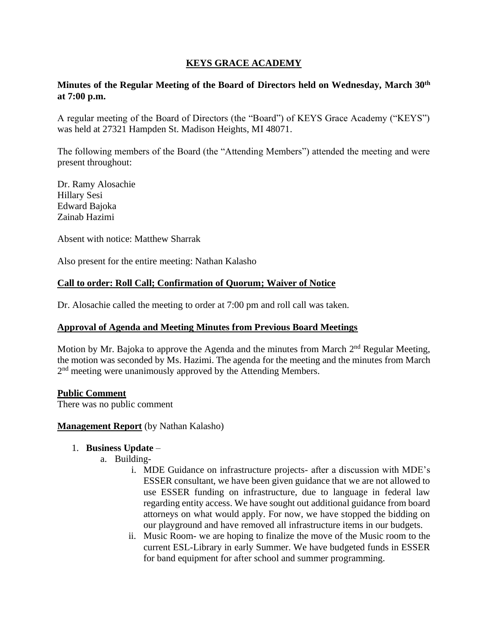## **KEYS GRACE ACADEMY**

### **Minutes of the Regular Meeting of the Board of Directors held on Wednesday, March 30th at 7:00 p.m.**

A regular meeting of the Board of Directors (the "Board") of KEYS Grace Academy ("KEYS") was held at 27321 Hampden St. Madison Heights, MI 48071.

The following members of the Board (the "Attending Members") attended the meeting and were present throughout:

Dr. Ramy Alosachie Hillary Sesi Edward Bajoka Zainab Hazimi

Absent with notice: Matthew Sharrak

Also present for the entire meeting: Nathan Kalasho

### **Call to order: Roll Call; Confirmation of Quorum; Waiver of Notice**

Dr. Alosachie called the meeting to order at 7:00 pm and roll call was taken.

### **Approval of Agenda and Meeting Minutes from Previous Board Meetings**

Motion by Mr. Bajoka to approve the Agenda and the minutes from March 2<sup>nd</sup> Regular Meeting, the motion was seconded by Ms. Hazimi. The agenda for the meeting and the minutes from March 2<sup>nd</sup> meeting were unanimously approved by the Attending Members.

### **Public Comment**

There was no public comment

### **Management Report** (by Nathan Kalasho)

### 1. **Business Update** –

- a. Building
	- i. MDE Guidance on infrastructure projects- after a discussion with MDE's ESSER consultant, we have been given guidance that we are not allowed to use ESSER funding on infrastructure, due to language in federal law regarding entity access. We have sought out additional guidance from board attorneys on what would apply. For now, we have stopped the bidding on our playground and have removed all infrastructure items in our budgets.
	- ii. Music Room- we are hoping to finalize the move of the Music room to the current ESL-Library in early Summer. We have budgeted funds in ESSER for band equipment for after school and summer programming.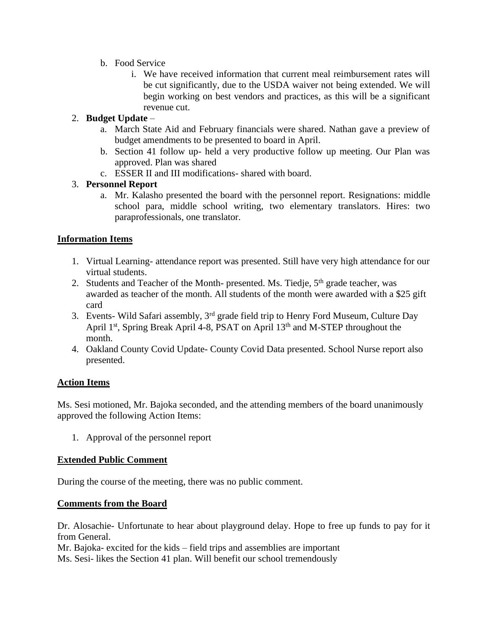- b. Food Service
	- i. We have received information that current meal reimbursement rates will be cut significantly, due to the USDA waiver not being extended. We will begin working on best vendors and practices, as this will be a significant revenue cut.

# 2. **Budget Update** –

- a. March State Aid and February financials were shared. Nathan gave a preview of budget amendments to be presented to board in April.
- b. Section 41 follow up- held a very productive follow up meeting. Our Plan was approved. Plan was shared
- c. ESSER II and III modifications- shared with board.

# 3. **Personnel Report**

a. Mr. Kalasho presented the board with the personnel report. Resignations: middle school para, middle school writing, two elementary translators. Hires: two paraprofessionals, one translator.

# **Information Items**

- 1. Virtual Learning- attendance report was presented. Still have very high attendance for our virtual students.
- 2. Students and Teacher of the Month- presented. Ms. Tiedje,  $5<sup>th</sup>$  grade teacher, was awarded as teacher of the month. All students of the month were awarded with a \$25 gift card
- 3. Events- Wild Safari assembly, 3rd grade field trip to Henry Ford Museum, Culture Day April 1<sup>st</sup>, Spring Break April 4-8, PSAT on April 13<sup>th</sup> and M-STEP throughout the month.
- 4. Oakland County Covid Update- County Covid Data presented. School Nurse report also presented.

## **Action Items**

Ms. Sesi motioned, Mr. Bajoka seconded, and the attending members of the board unanimously approved the following Action Items:

1. Approval of the personnel report

## **Extended Public Comment**

During the course of the meeting, there was no public comment.

## **Comments from the Board**

Dr. Alosachie- Unfortunate to hear about playground delay. Hope to free up funds to pay for it from General.

Mr. Bajoka- excited for the kids – field trips and assemblies are important Ms. Sesi- likes the Section 41 plan. Will benefit our school tremendously